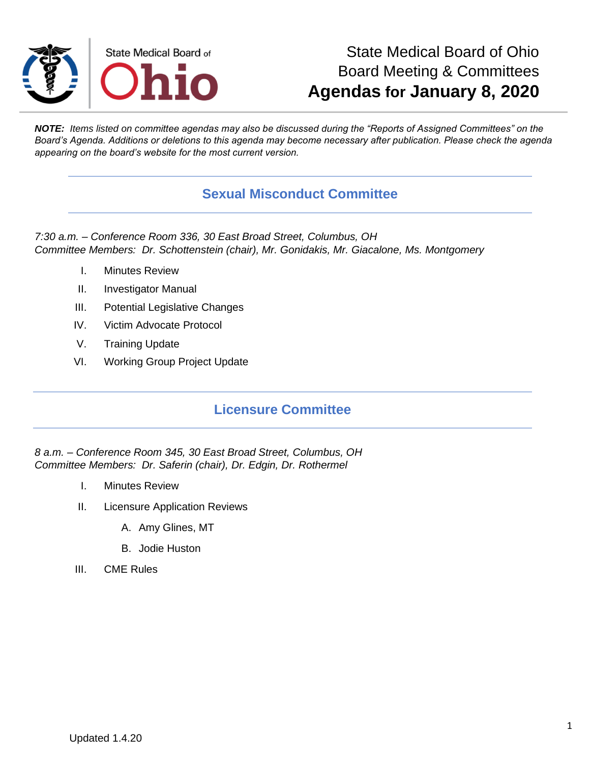

## State Medical Board of Ohio Board Meeting & Committees **Agendas for January 8, 2020**

*NOTE: Items listed on committee agendas may also be discussed during the "Reports of Assigned Committees" on the Board's Agenda. Additions or deletions to this agenda may become necessary after publication. Please check the agenda appearing on the board's website for the most current version.*

## **Sexual Misconduct Committee**

*7:30 a.m. – Conference Room 336, 30 East Broad Street, Columbus, OH Committee Members: Dr. Schottenstein (chair), Mr. Gonidakis, Mr. Giacalone, Ms. Montgomery*

- I. Minutes Review
- II. Investigator Manual
- III. Potential Legislative Changes
- IV. Victim Advocate Protocol
- V. Training Update
- VI. Working Group Project Update

## **Licensure Committee**

*8 a.m. – Conference Room 345, 30 East Broad Street, Columbus, OH Committee Members: Dr. Saferin (chair), Dr. Edgin, Dr. Rothermel*

- I. Minutes Review
- II. Licensure Application Reviews
	- A. Amy Glines, MT
	- B. Jodie Huston
- III. CME Rules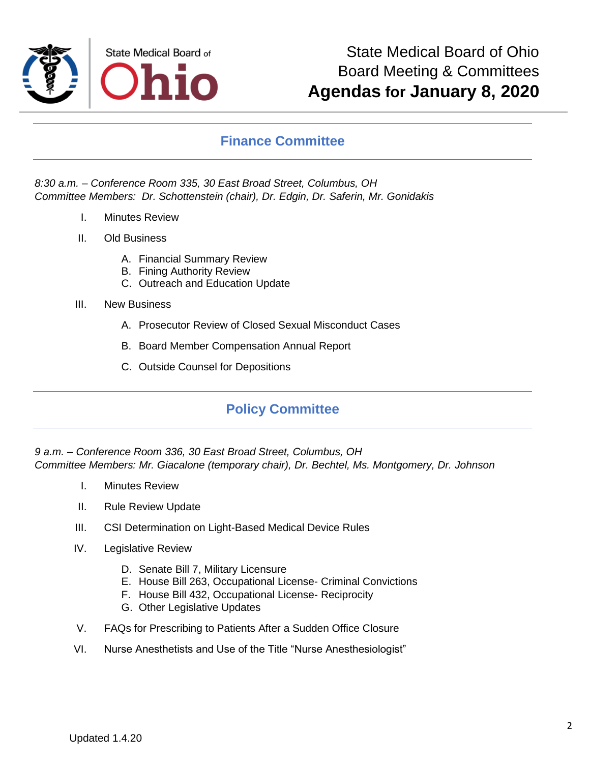

### **Finance Committee**

#### *8:30 a.m. – Conference Room 335, 30 East Broad Street, Columbus, OH Committee Members: Dr. Schottenstein (chair), Dr. Edgin, Dr. Saferin, Mr. Gonidakis*

- I. Minutes Review
- II. Old Business
	- A. Financial Summary Review
	- B. Fining Authority Review
	- C. Outreach and Education Update
- III. New Business
	- A. Prosecutor Review of Closed Sexual Misconduct Cases
	- B. Board Member Compensation Annual Report
	- C. Outside Counsel for Depositions

## **Policy Committee**

*9 a.m. – Conference Room 336, 30 East Broad Street, Columbus, OH Committee Members: Mr. Giacalone (temporary chair), Dr. Bechtel, Ms. Montgomery, Dr. Johnson*

- I. Minutes Review
- II. Rule Review Update
- III. CSI Determination on Light-Based Medical Device Rules
- IV. Legislative Review
	- D. Senate Bill 7, Military Licensure
	- E. House Bill 263, Occupational License- Criminal Convictions
	- F. House Bill 432, Occupational License- Reciprocity
	- G. Other Legislative Updates
- V. FAQs for Prescribing to Patients After a Sudden Office Closure
- VI. Nurse Anesthetists and Use of the Title "Nurse Anesthesiologist"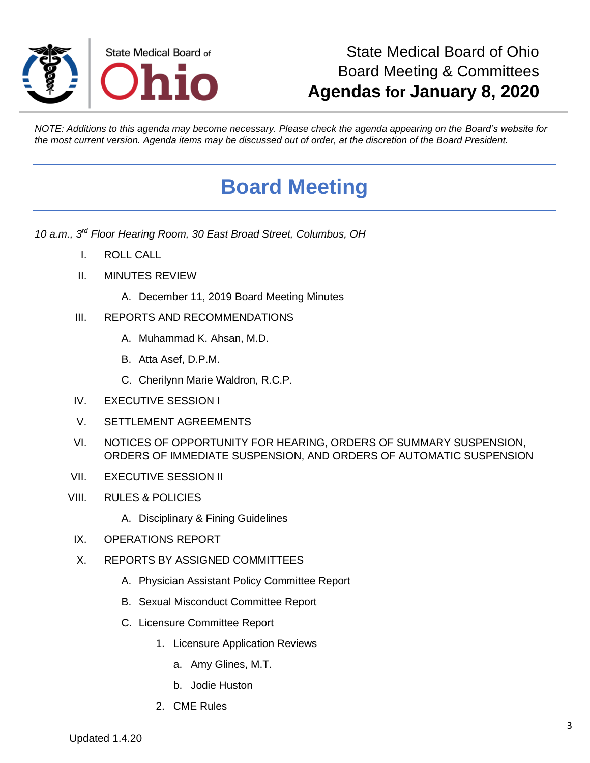

# State Medical Board of Ohio Board Meeting & Committees **Agendas for January 8, 2020**

*NOTE: Additions to this agenda may become necessary. Please check the agenda appearing on the Board's website for the most current version. Agenda items may be discussed out of order, at the discretion of the Board President.*

# **Board Meeting**

*10 a.m., 3rd Floor Hearing Room, 30 East Broad Street, Columbus, OH*

- I. ROLL CALL
- II. MINUTES REVIEW
	- A. December 11, 2019 Board Meeting Minutes
- III. REPORTS AND RECOMMENDATIONS
	- A. Muhammad K. Ahsan, M.D.
	- B. Atta Asef, D.P.M.
	- C. Cherilynn Marie Waldron, R.C.P.
- IV. EXECUTIVE SESSION I
- V. SETTLEMENT AGREEMENTS
- VI. NOTICES OF OPPORTUNITY FOR HEARING, ORDERS OF SUMMARY SUSPENSION, ORDERS OF IMMEDIATE SUSPENSION, AND ORDERS OF AUTOMATIC SUSPENSION
- VII. EXECUTIVE SESSION II
- VIII. RULES & POLICIES
	- A. Disciplinary & Fining Guidelines
	- IX. OPERATIONS REPORT
	- X. REPORTS BY ASSIGNED COMMITTEES
		- A. Physician Assistant Policy Committee Report
		- B. Sexual Misconduct Committee Report
		- C. Licensure Committee Report
			- 1. Licensure Application Reviews
				- a. Amy Glines, M.T.
				- b. Jodie Huston
			- 2. CME Rules